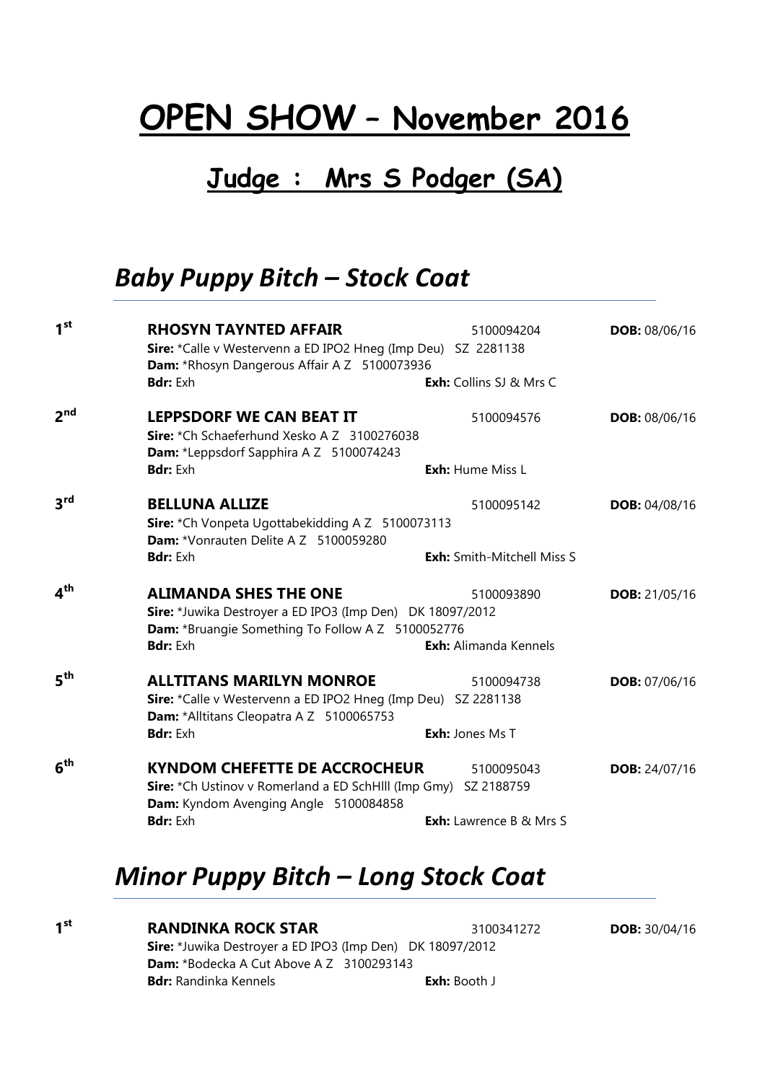# OPEN SHOW – November 2016

# Judge : Mrs S Podger (SA)

# Baby Puppy Bitch – Stock Coat

| 1 <sup>st</sup> | <b>RHOSYN TAYNTED AFFAIR</b><br>Sire: *Calle v Westervenn a ED IPO2 Hneg (Imp Deu) SZ 2281138<br>Dam: *Rhosyn Dangerous Affair A Z 5100073936                     | 5100094204                                   | <b>DOB: 08/06/16</b> |
|-----------------|-------------------------------------------------------------------------------------------------------------------------------------------------------------------|----------------------------------------------|----------------------|
|                 | <b>Bdr:</b> Exh                                                                                                                                                   | <b>Exh:</b> Collins SJ & Mrs C               |                      |
| 2 <sup>nd</sup> | <b>LEPPSDORF WE CAN BEAT IT</b><br>Sire: *Ch Schaeferhund Xesko A Z 3100276038<br>Dam: *Leppsdorf Sapphira A Z 5100074243                                         | 5100094576                                   | DOB: 08/06/16        |
|                 | <b>Bdr:</b> Exh                                                                                                                                                   | Exh: Hume Miss L                             |                      |
| $3^{\text{rd}}$ | <b>BELLUNA ALLIZE</b><br>Sire: *Ch Vonpeta Ugottabekidding A Z 5100073113<br><b>Dam:</b> *Vonrauten Delite A Z 5100059280                                         | 5100095142                                   | DOB: 04/08/16        |
|                 | <b>Bdr:</b> Exh                                                                                                                                                   | <b>Exh:</b> Smith-Mitchell Miss S            |                      |
| 4 <sup>th</sup> | <b>ALIMANDA SHES THE ONE</b><br>Sire: *Juwika Destroyer a ED IPO3 (Imp Den) DK 18097/2012<br>Dam: *Bruangie Something To Follow A Z 5100052776<br><b>Bdr:</b> Exh | 5100093890<br><b>Exh:</b> Alimanda Kennels   | <b>DOB:</b> 21/05/16 |
| $5^{\text{th}}$ | <b>ALLTITANS MARILYN MONROE</b><br>Sire: *Calle v Westervenn a ED IPO2 Hneg (Imp Deu) SZ 2281138<br>Dam: *Alltitans Cleopatra A Z 5100065753<br><b>Bdr:</b> Exh   | 5100094738<br><b>Exh:</b> Jones Ms T         | <b>DOB:</b> 07/06/16 |
| $6^{\sf th}$    | <b>KYNDOM CHEFETTE DE ACCROCHEUR</b><br>Sire: *Ch Ustinov v Romerland a ED SchHlll (Imp Gmy) SZ 2188759<br>Dam: Kyndom Avenging Angle 5100084858<br>Bdr: Exh      | 5100095043<br><b>Exh:</b> Lawrence B & Mrs S | <b>DOB:</b> 24/07/16 |

# Minor Puppy Bitch – Long Stock Coat

1<sup>st</sup>

**RANDINKA ROCK STAR** 3100341272 **DOB:** 30/04/16 Sire: \*Juwika Destroyer a ED IPO3 (Imp Den) DK 18097/2012 Dam: \*Bodecka A Cut Above A Z 3100293143 Bdr: Randinka Kennels **Exh: Booth J**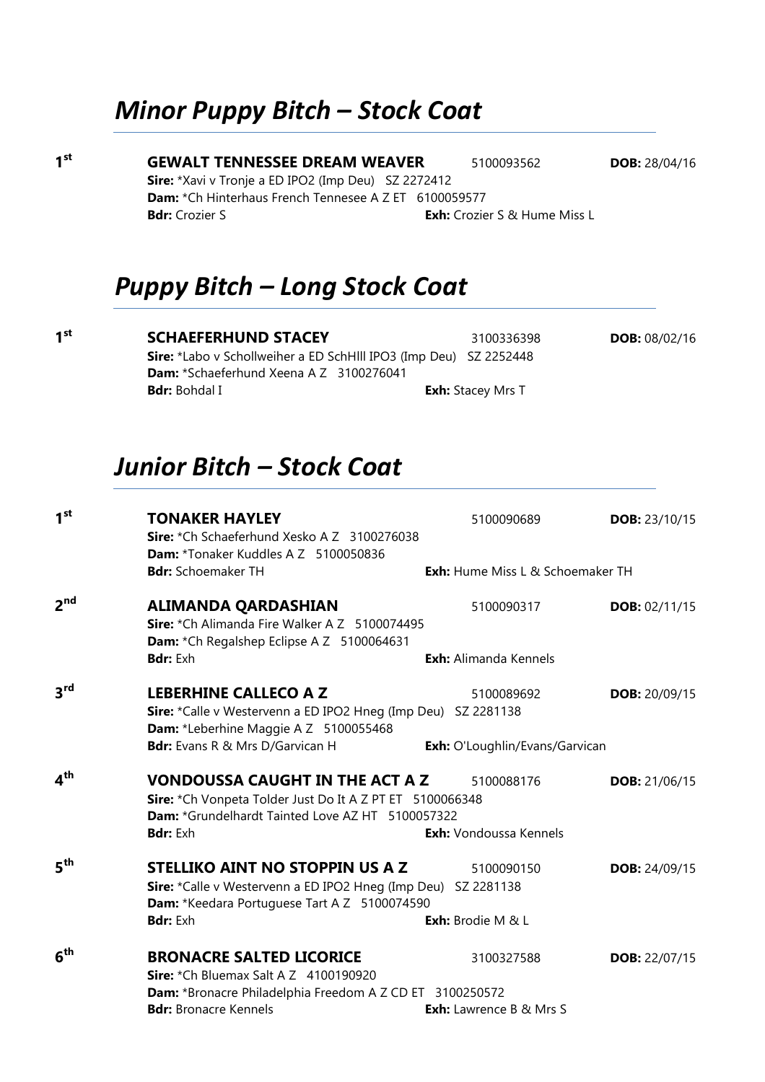# Minor Puppy Bitch – Stock Coat

**GEWALT TENNESSEE DREAM WEAVER** 5100093562 DOB: 28/04/16 Sire: \*Xavi v Tronje a ED IPO2 (Imp Deu) SZ 2272412 Dam: \*Ch Hinterhaus French Tennesee A Z ET 6100059577 **Bdr:** Crozier S **Exh:** Crozier S & Hume Miss L

## Puppy Bitch – Long Stock Coat

1<sup>st</sup>

 $1<sup>st</sup>$ 

**SCHAEFERHUND STACEY** 3100336398 **DOB:** 08/02/16 Sire: \*Labo v Schollweiher a ED SchHlll IPO3 (Imp Deu) SZ 2252448 Dam: \*Schaeferhund Xeena A Z 3100276041 **Bdr:** Bohdal I **Exh:** Stacey Mrs T

Junior Bitch – Stock Coat

| 1 <sup>st</sup>              | <b>TONAKER HAYLEY</b><br>Sire: *Ch Schaeferhund Xesko A Z 3100276038<br>Dam: *Tonaker Kuddles A Z 5100050836                                                              | 5100090689                              | <b>DOB: 23/10/15</b> |
|------------------------------|---------------------------------------------------------------------------------------------------------------------------------------------------------------------------|-----------------------------------------|----------------------|
|                              | <b>Bdr:</b> Schoemaker TH                                                                                                                                                 | <b>Exh:</b> Hume Miss L & Schoemaker TH |                      |
| $2^{\mathsf{nd}}$            | <b>ALIMANDA QARDASHIAN</b><br>Sire: *Ch Alimanda Fire Walker A Z 5100074495<br>Dam: *Ch Regalshep Eclipse A Z 5100064631                                                  | 5100090317                              | DOB: 02/11/15        |
|                              | <b>Bdr:</b> Exh                                                                                                                                                           | <b>Exh:</b> Alimanda Kennels            |                      |
| 3rd                          | <b>LEBERHINE CALLECO A Z</b><br>Sire: *Calle v Westervenn a ED IPO2 Hneg (Imp Deu) SZ 2281138<br>Dam: *Leberhine Maggie A Z 5100055468                                    | 5100089692                              | <b>DOB:</b> 20/09/15 |
|                              | Bdr: Evans R & Mrs D/Garvican H                                                                                                                                           | Exh: O'Loughlin/Evans/Garvican          |                      |
| ⊿ <sup>th</sup>              | <b>VONDOUSSA CAUGHT IN THE ACT A Z</b><br>Sire: *Ch Vonpeta Tolder Just Do It A Z PT ET 5100066348<br>Dam: *Grundelhardt Tainted Love AZ HT 5100057322<br><b>Bdr:</b> Exh | 5100088176<br>Exh: Vondoussa Kennels    | <b>DOB:</b> 21/06/15 |
| $\mathbf{5}^{\mathsf{th}}$   | <b>STELLIKO AINT NO STOPPIN US A Z</b>                                                                                                                                    |                                         |                      |
|                              | Sire: *Calle v Westervenn a ED IPO2 Hneg (Imp Deu) SZ 2281138<br>Dam: *Keedara Portuguese Tart A Z 5100074590                                                             | 5100090150                              | <b>DOB:</b> 24/09/15 |
|                              | <b>Bdr:</b> Exh                                                                                                                                                           | Exh: Brodie M & L                       |                      |
| $\boldsymbol{6}^{\text{th}}$ | <b>BRONACRE SALTED LICORICE</b><br>Sire: *Ch Bluemax Salt A Z 4100190920                                                                                                  | 3100327588                              | <b>DOB:</b> 22/07/15 |
|                              | Dam: *Bronacre Philadelphia Freedom A Z CD ET 3100250572<br><b>Bdr:</b> Bronacre Kennels                                                                                  | <b>Exh:</b> Lawrence B & Mrs S          |                      |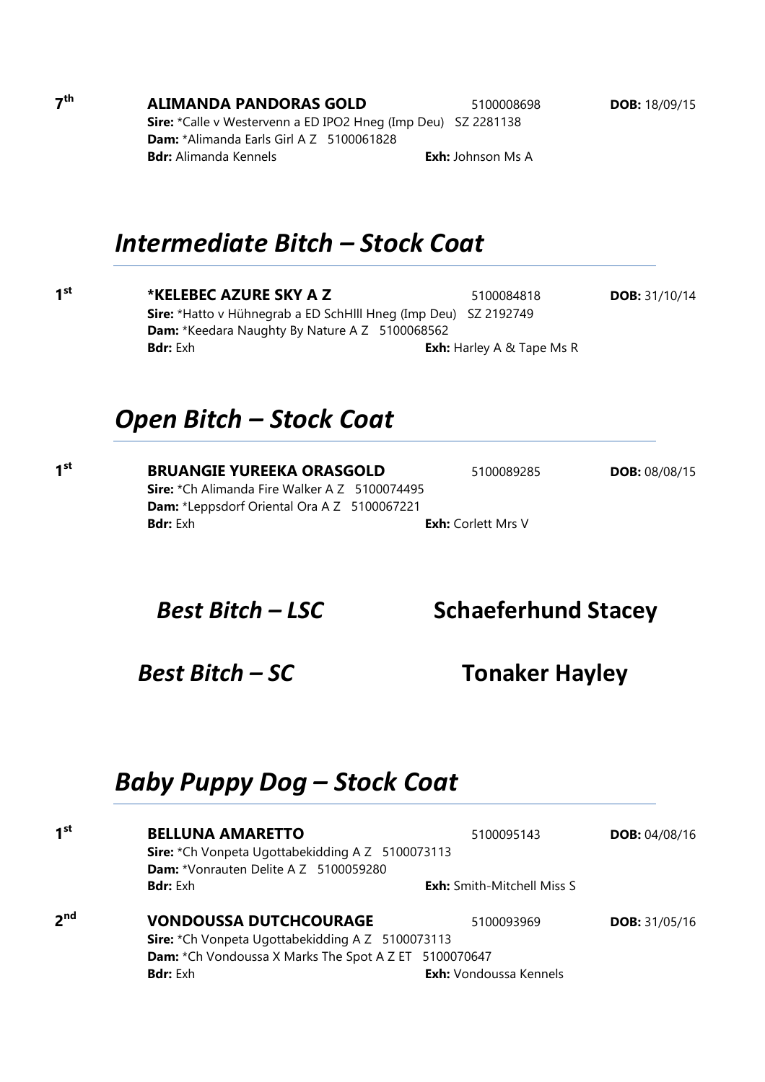**ALIMANDA PANDORAS GOLD** 5100008698 DOB: 18/09/15 Sire: \*Calle v Westervenn a ED IPO2 Hneg (Imp Deu) SZ 2281138 Dam: \*Alimanda Earls Girl A Z 5100061828 **Bdr:** Alimanda Kennels **Exh:** Johnson Ms A

Intermediate Bitch – Stock Coat

 $1<sup>st</sup>$ 

 $1<sup>st</sup>$ 

\*KELEBEC AZURE SKY A Z 5100084818 DOB: 31/10/14 Sire: \*Hatto v Hühnegrab a ED SchHlll Hneg (Imp Deu) SZ 2192749 Dam: \*Keedara Naughty By Nature A Z 5100068562 **Bdr:** Exh: Harley A & Tape Ms R

#### Open Bitch – Stock Coat

**BRUANGIE YUREEKA ORASGOLD** 5100089285 **DOB:** 08/08/15 Sire: \*Ch Alimanda Fire Walker A Z 5100074495 Dam: \*Leppsdorf Oriental Ora A Z 5100067221 **Bdr:** Exh **Exh:** Corlett Mrs V

Best Bitch – LSC Schaeferhund Stacey

# Baby Puppy Dog – Stock Coat

| 1 <sup>st</sup> | <b>BELLUNA AMARETTO</b>                                 | 5100095143                        | <b>DOB: 04/08/16</b> |  |  |
|-----------------|---------------------------------------------------------|-----------------------------------|----------------------|--|--|
|                 | Sire: *Ch Vonpeta Ugottabekidding A Z 5100073113        |                                   |                      |  |  |
|                 | Dam: *Vonrauten Delite A Z 5100059280                   |                                   |                      |  |  |
|                 | <b>Bdr:</b> Exh                                         | <b>Exh:</b> Smith-Mitchell Miss S |                      |  |  |
| 2 <sup>nd</sup> | <b>VONDOUSSA DUTCHCOURAGE</b>                           | 5100093969                        | <b>DOB:</b> 31/05/16 |  |  |
|                 | <b>Sire:</b> *Ch Vonpeta Ugottabekidding A Z 5100073113 |                                   |                      |  |  |
|                 | Dam: *Ch Vondoussa X Marks The Spot A Z ET 5100070647   |                                   |                      |  |  |
|                 | <b>Bdr:</b> Exh                                         | <b>Exh:</b> Vondoussa Kennels     |                      |  |  |
|                 |                                                         |                                   |                      |  |  |

 $7<sup>th</sup>$ 

Best Bitch – SC Tonaker Hayley